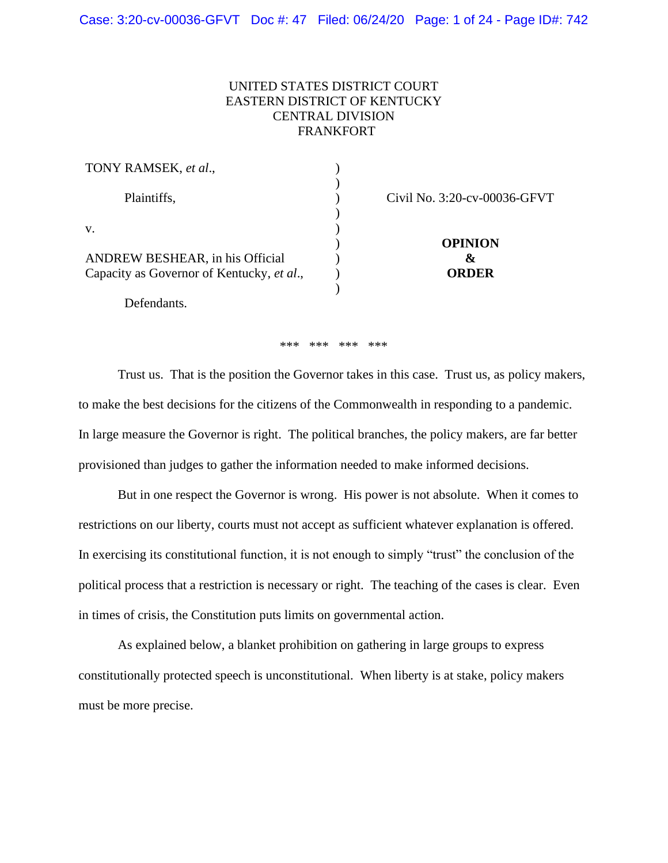# UNITED STATES DISTRICT COURT EASTERN DISTRICT OF KENTUCKY CENTRAL DIVISION FRANKFORT

| TONY RAMSEK, et al.,                      |                              |  |
|-------------------------------------------|------------------------------|--|
| Plaintiffs,                               | Civil No. 3:20-cv-00036-GFVT |  |
| V.                                        | <b>OPINION</b>               |  |
| ANDREW BESHEAR, in his Official           | Xz                           |  |
| Capacity as Governor of Kentucky, et al., | <b>ORDER</b>                 |  |
|                                           |                              |  |

Defendants.

#### \*\*\* \*\*\* \*\*\* \*\*\*

Trust us. That is the position the Governor takes in this case. Trust us, as policy makers, to make the best decisions for the citizens of the Commonwealth in responding to a pandemic. In large measure the Governor is right. The political branches, the policy makers, are far better provisioned than judges to gather the information needed to make informed decisions.

But in one respect the Governor is wrong. His power is not absolute. When it comes to restrictions on our liberty, courts must not accept as sufficient whatever explanation is offered. In exercising its constitutional function, it is not enough to simply "trust" the conclusion of the political process that a restriction is necessary or right. The teaching of the cases is clear. Even in times of crisis, the Constitution puts limits on governmental action.

As explained below, a blanket prohibition on gathering in large groups to express constitutionally protected speech is unconstitutional. When liberty is at stake, policy makers must be more precise.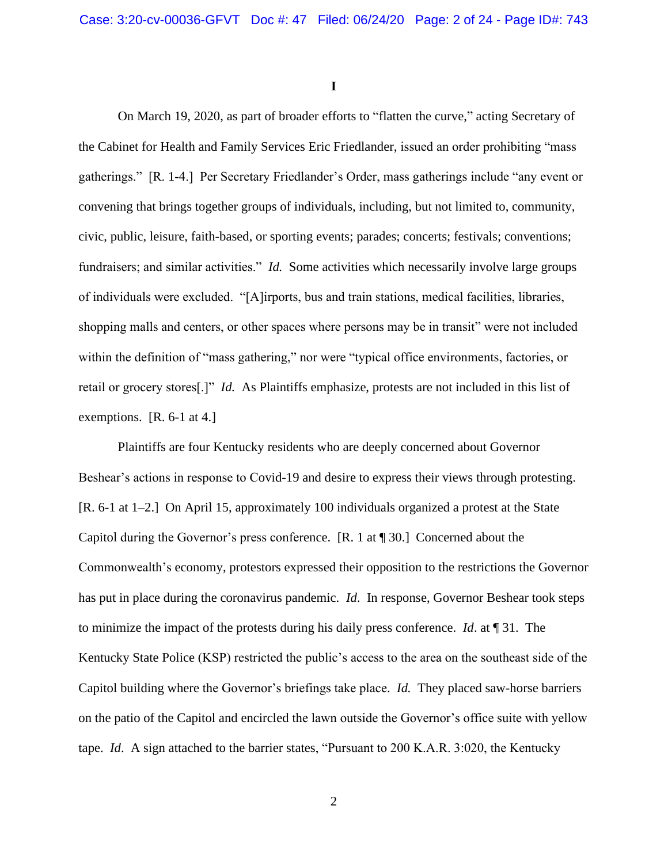**I**

On March 19, 2020, as part of broader efforts to "flatten the curve," acting Secretary of the Cabinet for Health and Family Services Eric Friedlander, issued an order prohibiting "mass gatherings." [R. 1-4.] Per Secretary Friedlander's Order, mass gatherings include "any event or convening that brings together groups of individuals, including, but not limited to, community, civic, public, leisure, faith-based, or sporting events; parades; concerts; festivals; conventions; fundraisers; and similar activities." *Id.* Some activities which necessarily involve large groups of individuals were excluded. "[A]irports, bus and train stations, medical facilities, libraries, shopping malls and centers, or other spaces where persons may be in transit" were not included within the definition of "mass gathering," nor were "typical office environments, factories, or retail or grocery stores[.]" *Id.* As Plaintiffs emphasize, protests are not included in this list of exemptions. [R. 6-1 at 4.]

Plaintiffs are four Kentucky residents who are deeply concerned about Governor Beshear's actions in response to Covid-19 and desire to express their views through protesting. [R. 6-1 at 1–2.] On April 15, approximately 100 individuals organized a protest at the State Capitol during the Governor's press conference. [R. 1 at ¶ 30.] Concerned about the Commonwealth's economy, protestors expressed their opposition to the restrictions the Governor has put in place during the coronavirus pandemic. *Id*. In response, Governor Beshear took steps to minimize the impact of the protests during his daily press conference. *Id*. at ¶ 31. The Kentucky State Police (KSP) restricted the public's access to the area on the southeast side of the Capitol building where the Governor's briefings take place. *Id.* They placed saw-horse barriers on the patio of the Capitol and encircled the lawn outside the Governor's office suite with yellow tape. *Id*. A sign attached to the barrier states, "Pursuant to 200 K.A.R. 3:020, the Kentucky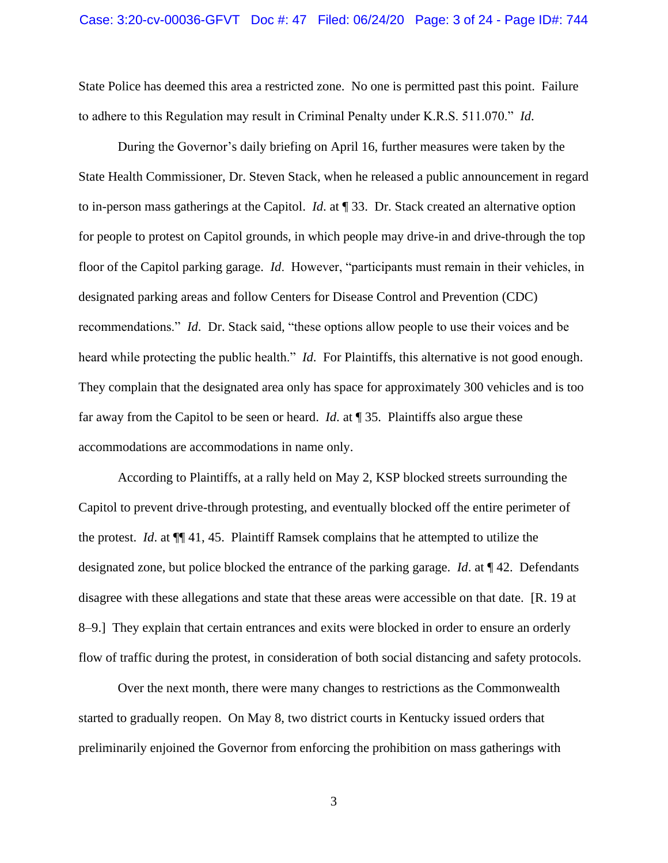State Police has deemed this area a restricted zone. No one is permitted past this point. Failure to adhere to this Regulation may result in Criminal Penalty under K.R.S. 511.070." *Id*.

During the Governor's daily briefing on April 16, further measures were taken by the State Health Commissioner, Dr. Steven Stack, when he released a public announcement in regard to in-person mass gatherings at the Capitol. *Id*. at ¶ 33. Dr. Stack created an alternative option for people to protest on Capitol grounds, in which people may drive-in and drive-through the top floor of the Capitol parking garage. *Id*. However, "participants must remain in their vehicles, in designated parking areas and follow Centers for Disease Control and Prevention (CDC) recommendations." *Id*. Dr. Stack said, "these options allow people to use their voices and be heard while protecting the public health." *Id*. For Plaintiffs, this alternative is not good enough. They complain that the designated area only has space for approximately 300 vehicles and is too far away from the Capitol to be seen or heard. *Id*. at ¶ 35. Plaintiffs also argue these accommodations are accommodations in name only.

According to Plaintiffs, at a rally held on May 2, KSP blocked streets surrounding the Capitol to prevent drive-through protesting, and eventually blocked off the entire perimeter of the protest. *Id*. at ¶¶ 41, 45. Plaintiff Ramsek complains that he attempted to utilize the designated zone, but police blocked the entrance of the parking garage. *Id*. at ¶ 42. Defendants disagree with these allegations and state that these areas were accessible on that date. [R. 19 at 8–9.] They explain that certain entrances and exits were blocked in order to ensure an orderly flow of traffic during the protest, in consideration of both social distancing and safety protocols.

Over the next month, there were many changes to restrictions as the Commonwealth started to gradually reopen. On May 8, two district courts in Kentucky issued orders that preliminarily enjoined the Governor from enforcing the prohibition on mass gatherings with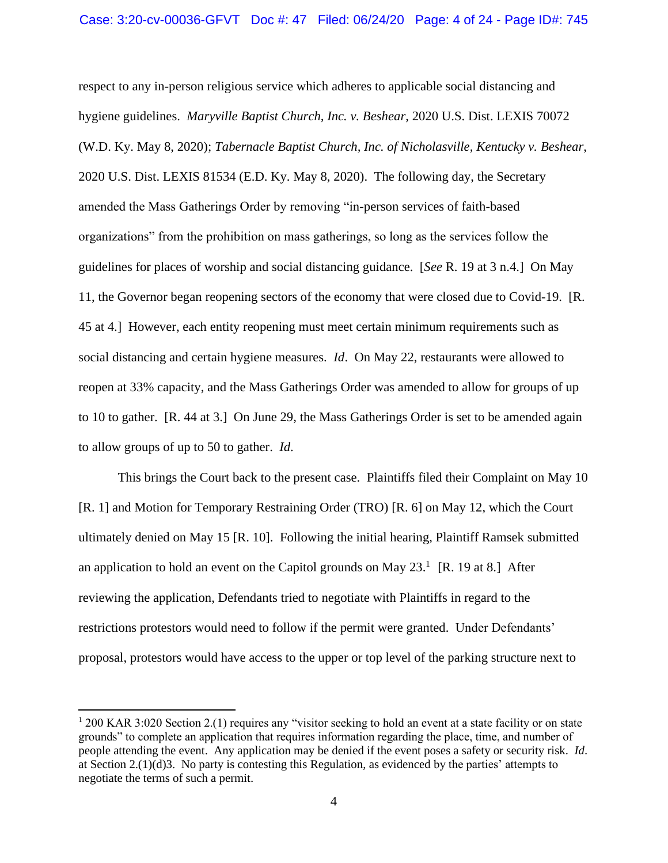respect to any in-person religious service which adheres to applicable social distancing and hygiene guidelines. *Maryville Baptist Church, Inc. v. Beshear*, 2020 U.S. Dist. LEXIS 70072 (W.D. Ky. May 8, 2020); *Tabernacle Baptist Church, Inc. of Nicholasville, Kentucky v. Beshear*, 2020 U.S. Dist. LEXIS 81534 (E.D. Ky. May 8, 2020). The following day, the Secretary amended the Mass Gatherings Order by removing "in-person services of faith-based organizations" from the prohibition on mass gatherings, so long as the services follow the guidelines for places of worship and social distancing guidance. [*See* R. 19 at 3 n.4.] On May 11, the Governor began reopening sectors of the economy that were closed due to Covid-19. [R. 45 at 4.] However, each entity reopening must meet certain minimum requirements such as social distancing and certain hygiene measures. *Id*. On May 22, restaurants were allowed to reopen at 33% capacity, and the Mass Gatherings Order was amended to allow for groups of up to 10 to gather. [R. 44 at 3.] On June 29, the Mass Gatherings Order is set to be amended again to allow groups of up to 50 to gather. *Id*.

This brings the Court back to the present case. Plaintiffs filed their Complaint on May 10 [R. 1] and Motion for Temporary Restraining Order (TRO) [R. 6] on May 12, which the Court ultimately denied on May 15 [R. 10]. Following the initial hearing, Plaintiff Ramsek submitted an application to hold an event on the Capitol grounds on May  $23<sup>1</sup>$  [R. 19 at 8.] After reviewing the application, Defendants tried to negotiate with Plaintiffs in regard to the restrictions protestors would need to follow if the permit were granted. Under Defendants' proposal, protestors would have access to the upper or top level of the parking structure next to

 $1200$  KAR 3:020 Section 2.(1) requires any "visitor seeking to hold an event at a state facility or on state grounds" to complete an application that requires information regarding the place, time, and number of people attending the event. Any application may be denied if the event poses a safety or security risk. *Id*. at Section 2.(1)(d)3. No party is contesting this Regulation, as evidenced by the parties' attempts to negotiate the terms of such a permit.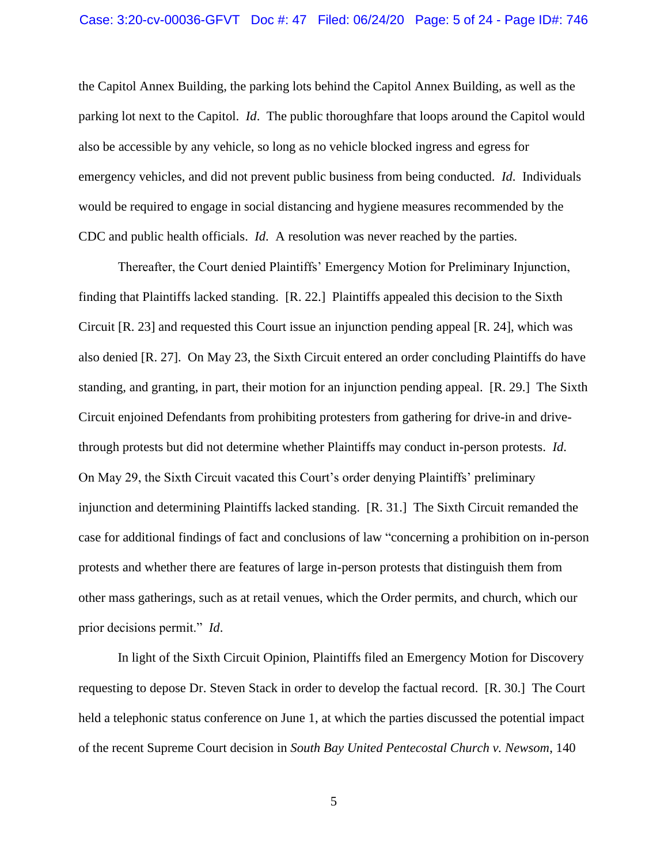the Capitol Annex Building, the parking lots behind the Capitol Annex Building, as well as the parking lot next to the Capitol. *Id*. The public thoroughfare that loops around the Capitol would also be accessible by any vehicle, so long as no vehicle blocked ingress and egress for emergency vehicles, and did not prevent public business from being conducted. *Id*. Individuals would be required to engage in social distancing and hygiene measures recommended by the CDC and public health officials. *Id*. A resolution was never reached by the parties.

Thereafter, the Court denied Plaintiffs' Emergency Motion for Preliminary Injunction, finding that Plaintiffs lacked standing. [R. 22.] Plaintiffs appealed this decision to the Sixth Circuit [R. 23] and requested this Court issue an injunction pending appeal [R. 24], which was also denied [R. 27]. On May 23, the Sixth Circuit entered an order concluding Plaintiffs do have standing, and granting, in part, their motion for an injunction pending appeal. [R. 29.] The Sixth Circuit enjoined Defendants from prohibiting protesters from gathering for drive-in and drivethrough protests but did not determine whether Plaintiffs may conduct in-person protests. *Id*. On May 29, the Sixth Circuit vacated this Court's order denying Plaintiffs' preliminary injunction and determining Plaintiffs lacked standing. [R. 31.] The Sixth Circuit remanded the case for additional findings of fact and conclusions of law "concerning a prohibition on in-person protests and whether there are features of large in-person protests that distinguish them from other mass gatherings, such as at retail venues, which the Order permits, and church, which our prior decisions permit." *Id*.

In light of the Sixth Circuit Opinion, Plaintiffs filed an Emergency Motion for Discovery requesting to depose Dr. Steven Stack in order to develop the factual record. [R. 30.] The Court held a telephonic status conference on June 1, at which the parties discussed the potential impact of the recent Supreme Court decision in *South Bay United Pentecostal Church v. Newsom*, 140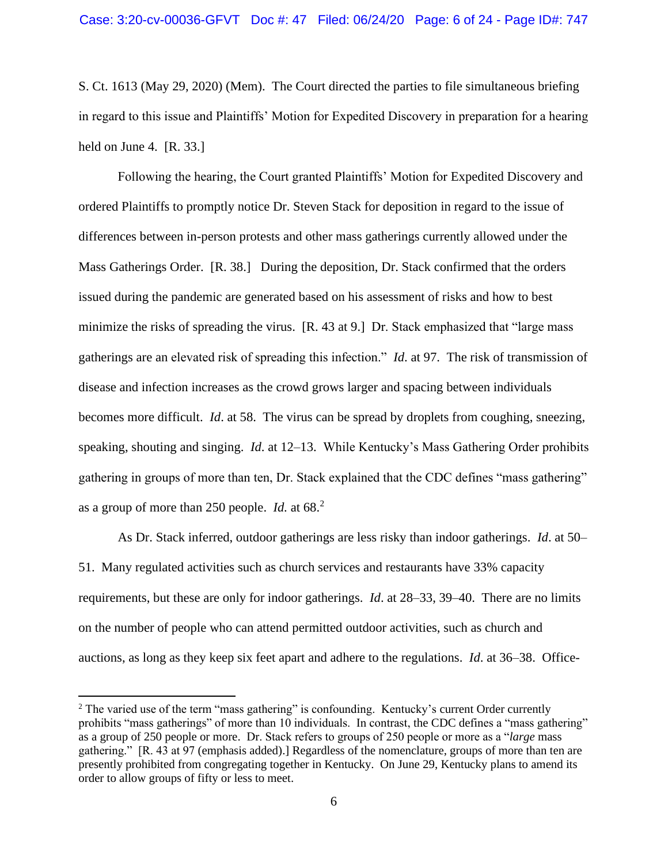S. Ct. 1613 (May 29, 2020) (Mem). The Court directed the parties to file simultaneous briefing in regard to this issue and Plaintiffs' Motion for Expedited Discovery in preparation for a hearing held on June 4. [R. 33.]

Following the hearing, the Court granted Plaintiffs' Motion for Expedited Discovery and ordered Plaintiffs to promptly notice Dr. Steven Stack for deposition in regard to the issue of differences between in-person protests and other mass gatherings currently allowed under the Mass Gatherings Order. [R. 38.] During the deposition, Dr. Stack confirmed that the orders issued during the pandemic are generated based on his assessment of risks and how to best minimize the risks of spreading the virus. [R. 43 at 9.] Dr. Stack emphasized that "large mass" gatherings are an elevated risk of spreading this infection." *Id*. at 97. The risk of transmission of disease and infection increases as the crowd grows larger and spacing between individuals becomes more difficult. *Id*. at 58. The virus can be spread by droplets from coughing, sneezing, speaking, shouting and singing. *Id*. at 12–13. While Kentucky's Mass Gathering Order prohibits gathering in groups of more than ten, Dr. Stack explained that the CDC defines "mass gathering" as a group of more than 250 people. *Id.* at 68.<sup>2</sup>

As Dr. Stack inferred, outdoor gatherings are less risky than indoor gatherings. *Id*. at 50– 51. Many regulated activities such as church services and restaurants have 33% capacity requirements, but these are only for indoor gatherings. *Id*. at 28–33, 39–40. There are no limits on the number of people who can attend permitted outdoor activities, such as church and auctions, as long as they keep six feet apart and adhere to the regulations. *Id*. at 36–38. Office-

<sup>&</sup>lt;sup>2</sup> The varied use of the term "mass gathering" is confounding. Kentucky's current Order currently prohibits "mass gatherings" of more than 10 individuals. In contrast, the CDC defines a "mass gathering" as a group of 250 people or more. Dr. Stack refers to groups of 250 people or more as a "*large* mass gathering." [R. 43 at 97 (emphasis added).] Regardless of the nomenclature, groups of more than ten are presently prohibited from congregating together in Kentucky. On June 29, Kentucky plans to amend its order to allow groups of fifty or less to meet.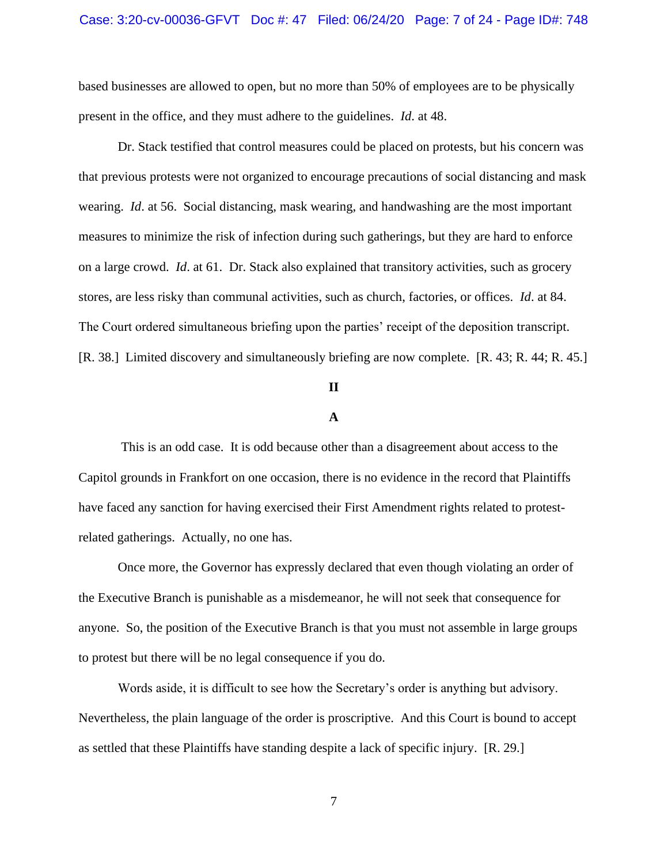based businesses are allowed to open, but no more than 50% of employees are to be physically present in the office, and they must adhere to the guidelines. *Id*. at 48.

Dr. Stack testified that control measures could be placed on protests, but his concern was that previous protests were not organized to encourage precautions of social distancing and mask wearing. *Id*. at 56. Social distancing, mask wearing, and handwashing are the most important measures to minimize the risk of infection during such gatherings, but they are hard to enforce on a large crowd. *Id*. at 61. Dr. Stack also explained that transitory activities, such as grocery stores, are less risky than communal activities, such as church, factories, or offices. *Id*. at 84. The Court ordered simultaneous briefing upon the parties' receipt of the deposition transcript. [R. 38.] Limited discovery and simultaneously briefing are now complete. [R. 43; R. 44; R. 45.]

# **II**

# **A**

This is an odd case. It is odd because other than a disagreement about access to the Capitol grounds in Frankfort on one occasion, there is no evidence in the record that Plaintiffs have faced any sanction for having exercised their First Amendment rights related to protestrelated gatherings. Actually, no one has.

Once more, the Governor has expressly declared that even though violating an order of the Executive Branch is punishable as a misdemeanor, he will not seek that consequence for anyone. So, the position of the Executive Branch is that you must not assemble in large groups to protest but there will be no legal consequence if you do.

Words aside, it is difficult to see how the Secretary's order is anything but advisory. Nevertheless, the plain language of the order is proscriptive. And this Court is bound to accept as settled that these Plaintiffs have standing despite a lack of specific injury. [R. 29.]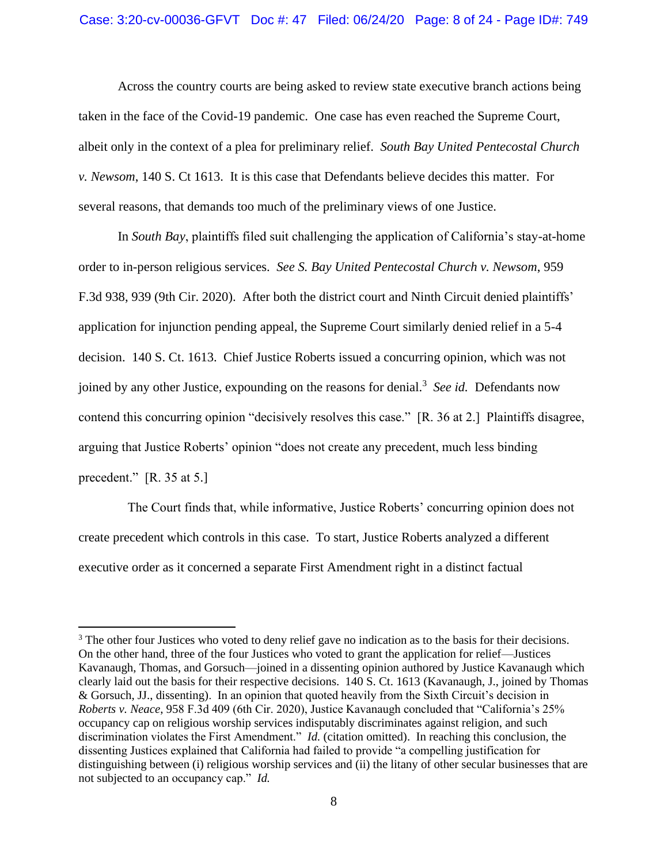Across the country courts are being asked to review state executive branch actions being taken in the face of the Covid-19 pandemic. One case has even reached the Supreme Court, albeit only in the context of a plea for preliminary relief. *South Bay United Pentecostal Church v. Newsom*, 140 S. Ct 1613. It is this case that Defendants believe decides this matter. For several reasons, that demands too much of the preliminary views of one Justice.

In *South Bay*, plaintiffs filed suit challenging the application of California's stay-at-home order to in-person religious services. *See S. Bay United Pentecostal Church v. Newsom*, 959 F.3d 938, 939 (9th Cir. 2020). After both the district court and Ninth Circuit denied plaintiffs' application for injunction pending appeal, the Supreme Court similarly denied relief in a 5-4 decision. 140 S. Ct. 1613. Chief Justice Roberts issued a concurring opinion, which was not joined by any other Justice, expounding on the reasons for denial.<sup>3</sup> See id. Defendants now contend this concurring opinion "decisively resolves this case." [R. 36 at 2.] Plaintiffs disagree, arguing that Justice Roberts' opinion "does not create any precedent, much less binding precedent." [R. 35 at 5.]

 The Court finds that, while informative, Justice Roberts' concurring opinion does not create precedent which controls in this case. To start, Justice Roberts analyzed a different executive order as it concerned a separate First Amendment right in a distinct factual

<sup>&</sup>lt;sup>3</sup> The other four Justices who voted to deny relief gave no indication as to the basis for their decisions. On the other hand, three of the four Justices who voted to grant the application for relief—Justices Kavanaugh, Thomas, and Gorsuch—joined in a dissenting opinion authored by Justice Kavanaugh which clearly laid out the basis for their respective decisions. 140 S. Ct. 1613 (Kavanaugh, J., joined by Thomas & Gorsuch, JJ., dissenting). In an opinion that quoted heavily from the Sixth Circuit's decision in *Roberts v. Neace*, 958 F.3d 409 (6th Cir. 2020), Justice Kavanaugh concluded that "California's 25% occupancy cap on religious worship services indisputably discriminates against religion, and such discrimination violates the First Amendment." *Id.* (citation omitted). In reaching this conclusion, the dissenting Justices explained that California had failed to provide "a compelling justification for distinguishing between (i) religious worship services and (ii) the litany of other secular businesses that are not subjected to an occupancy cap." *Id.*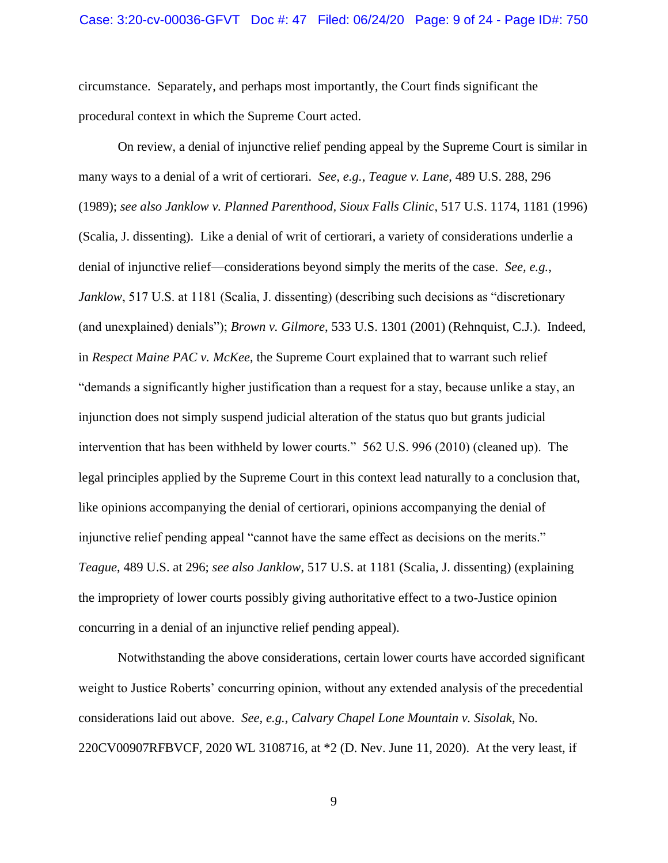circumstance. Separately, and perhaps most importantly, the Court finds significant the procedural context in which the Supreme Court acted.

On review, a denial of injunctive relief pending appeal by the Supreme Court is similar in many ways to a denial of a writ of certiorari. *See, e.g.*, *Teague v. Lane*, 489 U.S. 288, 296 (1989); *see also Janklow v. Planned Parenthood, Sioux Falls Clinic*, 517 U.S. 1174, 1181 (1996) (Scalia, J. dissenting). Like a denial of writ of certiorari, a variety of considerations underlie a denial of injunctive relief—considerations beyond simply the merits of the case. *See, e.g.*, *Janklow*, 517 U.S. at 1181 (Scalia, J. dissenting) (describing such decisions as "discretionary (and unexplained) denials"); *Brown v. Gilmore*, 533 U.S. 1301 (2001) (Rehnquist, C.J.). Indeed, in *Respect Maine PAC v. McKee*, the Supreme Court explained that to warrant such relief "demands a significantly higher justification than a request for a stay, because unlike a stay, an injunction does not simply suspend judicial alteration of the status quo but grants judicial intervention that has been withheld by lower courts." 562 U.S. 996 (2010) (cleaned up). The legal principles applied by the Supreme Court in this context lead naturally to a conclusion that, like opinions accompanying the denial of certiorari, opinions accompanying the denial of injunctive relief pending appeal "cannot have the same effect as decisions on the merits." *Teague*, 489 U.S. at 296; *see also Janklow*, 517 U.S. at 1181 (Scalia, J. dissenting) (explaining the impropriety of lower courts possibly giving authoritative effect to a two-Justice opinion concurring in a denial of an injunctive relief pending appeal).

Notwithstanding the above considerations, certain lower courts have accorded significant weight to Justice Roberts' concurring opinion, without any extended analysis of the precedential considerations laid out above. *See, e.g.*, *Calvary Chapel Lone Mountain v. Sisolak*, No. 220CV00907RFBVCF, 2020 WL 3108716, at \*2 (D. Nev. June 11, 2020). At the very least, if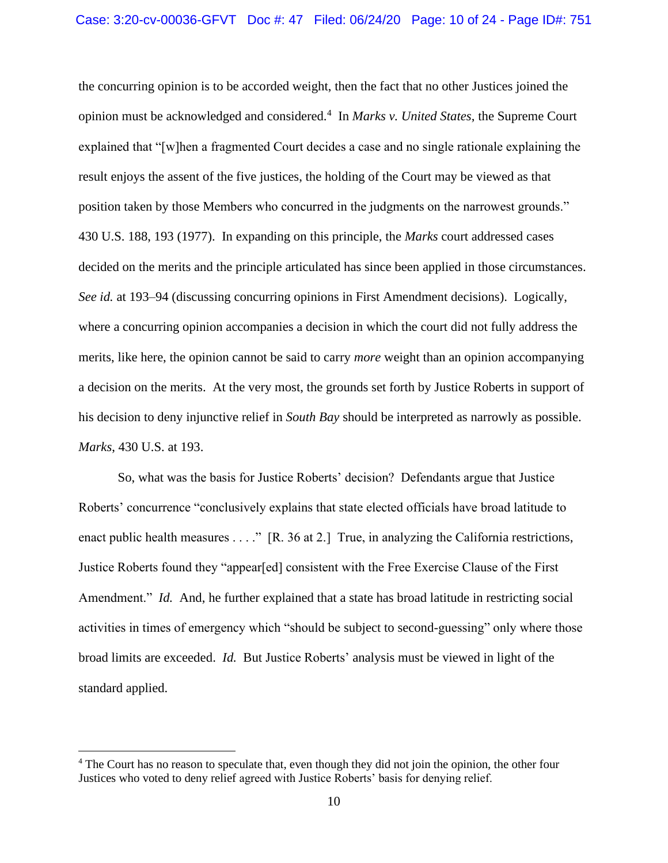the concurring opinion is to be accorded weight, then the fact that no other Justices joined the opinion must be acknowledged and considered.<sup>4</sup> In *Marks v. United States*, the Supreme Court explained that "[w]hen a fragmented Court decides a case and no single rationale explaining the result enjoys the assent of the five justices, the holding of the Court may be viewed as that position taken by those Members who concurred in the judgments on the narrowest grounds." 430 U.S. 188, 193 (1977). In expanding on this principle, the *Marks* court addressed cases decided on the merits and the principle articulated has since been applied in those circumstances. *See id.* at 193–94 (discussing concurring opinions in First Amendment decisions). Logically, where a concurring opinion accompanies a decision in which the court did not fully address the merits, like here, the opinion cannot be said to carry *more* weight than an opinion accompanying a decision on the merits. At the very most, the grounds set forth by Justice Roberts in support of his decision to deny injunctive relief in *South Bay* should be interpreted as narrowly as possible. *Marks*, 430 U.S. at 193.

So, what was the basis for Justice Roberts' decision? Defendants argue that Justice Roberts' concurrence "conclusively explains that state elected officials have broad latitude to enact public health measures . . . ." [R. 36 at 2.] True, in analyzing the California restrictions, Justice Roberts found they "appear[ed] consistent with the Free Exercise Clause of the First Amendment." *Id.* And, he further explained that a state has broad latitude in restricting social activities in times of emergency which "should be subject to second-guessing" only where those broad limits are exceeded. *Id.* But Justice Roberts' analysis must be viewed in light of the standard applied.

<sup>&</sup>lt;sup>4</sup> The Court has no reason to speculate that, even though they did not join the opinion, the other four Justices who voted to deny relief agreed with Justice Roberts' basis for denying relief.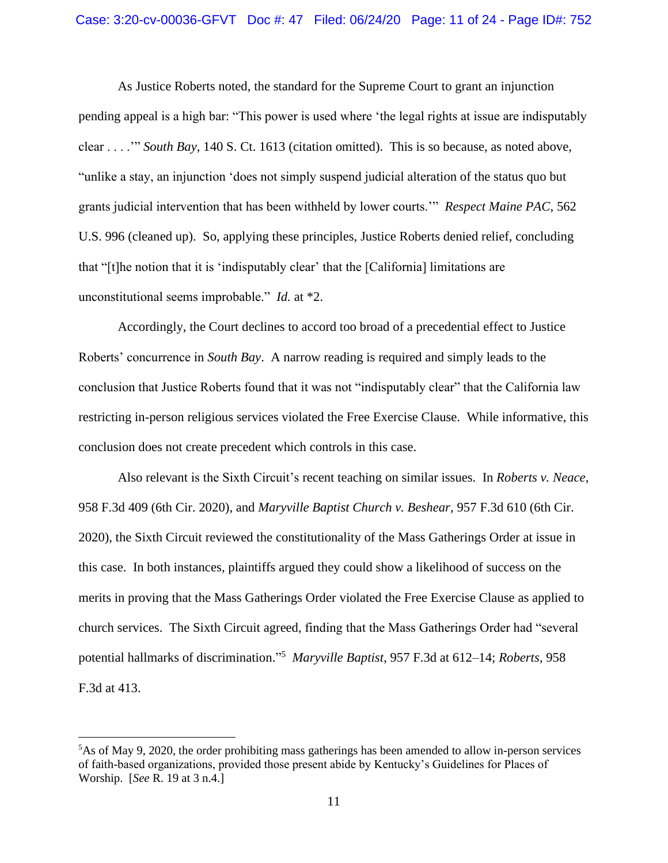As Justice Roberts noted, the standard for the Supreme Court to grant an injunction pending appeal is a high bar: "This power is used where 'the legal rights at issue are indisputably clear . . . .'" *South Bay*, 140 S. Ct. 1613 (citation omitted). This is so because, as noted above, "unlike a stay, an injunction 'does not simply suspend judicial alteration of the status quo but grants judicial intervention that has been withheld by lower courts.'" *Respect Maine PAC*, 562 U.S. 996 (cleaned up). So, applying these principles, Justice Roberts denied relief, concluding that "[t]he notion that it is 'indisputably clear' that the [California] limitations are unconstitutional seems improbable." *Id.* at \*2.

Accordingly, the Court declines to accord too broad of a precedential effect to Justice Roberts' concurrence in *South Bay*. A narrow reading is required and simply leads to the conclusion that Justice Roberts found that it was not "indisputably clear" that the California law restricting in-person religious services violated the Free Exercise Clause. While informative, this conclusion does not create precedent which controls in this case.

Also relevant is the Sixth Circuit's recent teaching on similar issues. In *Roberts v. Neace*, 958 F.3d 409 (6th Cir. 2020), and *Maryville Baptist Church v. Beshear*, 957 F.3d 610 (6th Cir. 2020), the Sixth Circuit reviewed the constitutionality of the Mass Gatherings Order at issue in this case. In both instances, plaintiffs argued they could show a likelihood of success on the merits in proving that the Mass Gatherings Order violated the Free Exercise Clause as applied to church services. The Sixth Circuit agreed, finding that the Mass Gatherings Order had "several potential hallmarks of discrimination." 5 *Maryville Baptist*, 957 F.3d at 612–14; *Roberts*, 958 F.3d at 413.

 $5$ As of May 9, 2020, the order prohibiting mass gatherings has been amended to allow in-person services of faith-based organizations, provided those present abide by Kentucky's Guidelines for Places of Worship. [*See* R. 19 at 3 n.4.]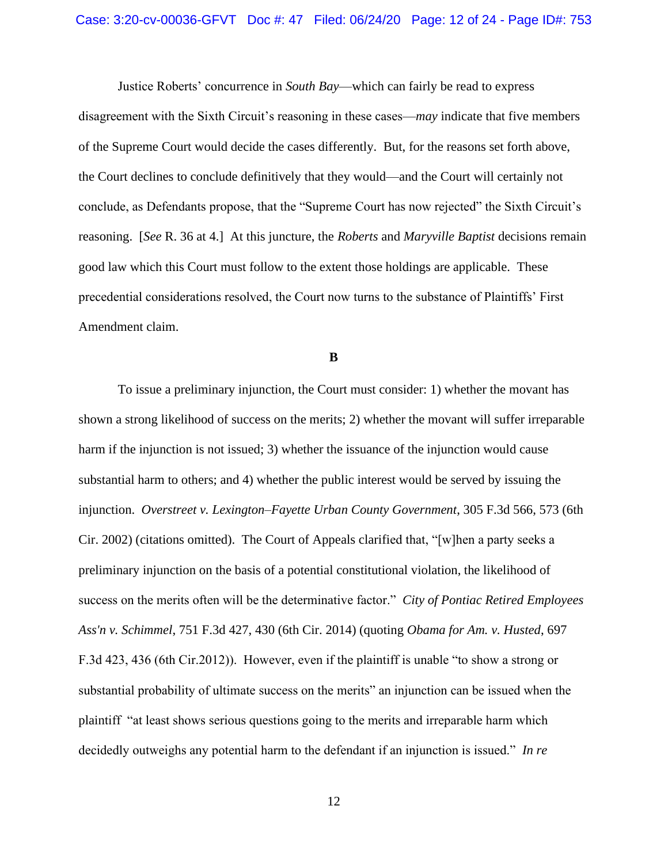Justice Roberts' concurrence in *South Bay*—which can fairly be read to express disagreement with the Sixth Circuit's reasoning in these cases—*may* indicate that five members of the Supreme Court would decide the cases differently. But, for the reasons set forth above, the Court declines to conclude definitively that they would—and the Court will certainly not conclude, as Defendants propose, that the "Supreme Court has now rejected" the Sixth Circuit's reasoning. [*See* R. 36 at 4.] At this juncture, the *Roberts* and *Maryville Baptist* decisions remain good law which this Court must follow to the extent those holdings are applicable. These precedential considerations resolved, the Court now turns to the substance of Plaintiffs' First Amendment claim.

### **B**

To issue a preliminary injunction, the Court must consider: 1) whether the movant has shown a strong likelihood of success on the merits; 2) whether the movant will suffer irreparable harm if the injunction is not issued; 3) whether the issuance of the injunction would cause substantial harm to others; and 4) whether the public interest would be served by issuing the injunction. *Overstreet v. Lexington–Fayette Urban County Government*, 305 F.3d 566, 573 (6th Cir. 2002) (citations omitted). The Court of Appeals clarified that, "[w]hen a party seeks a preliminary injunction on the basis of a potential constitutional violation, the likelihood of success on the merits often will be the determinative factor." *City of Pontiac Retired Employees Ass'n v. Schimmel*, 751 F.3d 427, 430 (6th Cir. 2014) (quoting *Obama for Am. v. Husted*, 697 F.3d 423, 436 (6th Cir.2012)). However, even if the plaintiff is unable "to show a strong or substantial probability of ultimate success on the merits" an injunction can be issued when the plaintiff "at least shows serious questions going to the merits and irreparable harm which decidedly outweighs any potential harm to the defendant if an injunction is issued." *In re*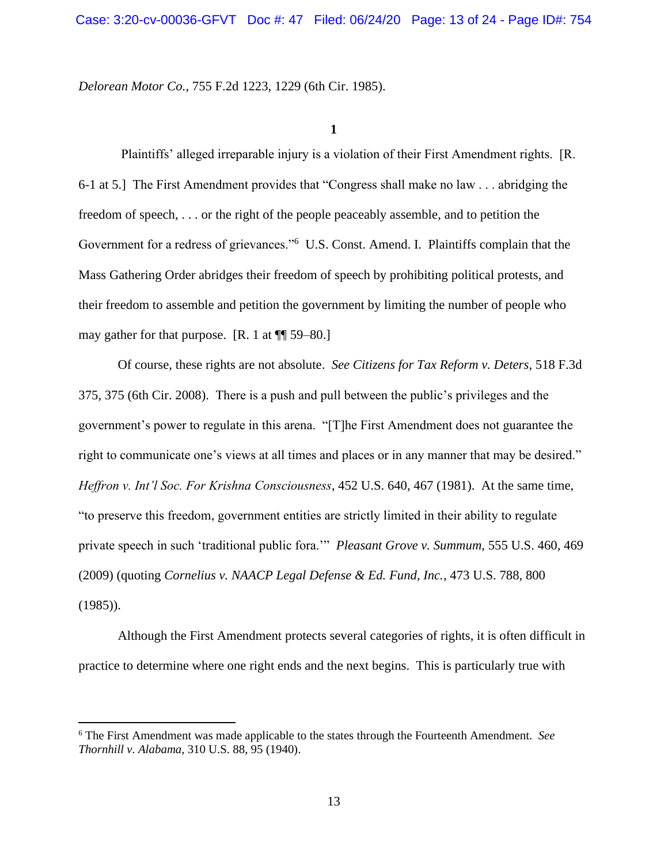*Delorean Motor Co.*, 755 F.2d 1223, 1229 (6th Cir. 1985).

# **1**

Plaintiffs' alleged irreparable injury is a violation of their First Amendment rights. [R. 6-1 at 5.] The First Amendment provides that "Congress shall make no law . . . abridging the freedom of speech, . . . or the right of the people peaceably assemble, and to petition the Government for a redress of grievances."<sup>6</sup> U.S. Const. Amend. I. Plaintiffs complain that the Mass Gathering Order abridges their freedom of speech by prohibiting political protests, and their freedom to assemble and petition the government by limiting the number of people who may gather for that purpose. [R. 1 at ¶¶ 59–80.]

Of course, these rights are not absolute. *See Citizens for Tax Reform v. Deters*, 518 F.3d 375, 375 (6th Cir. 2008). There is a push and pull between the public's privileges and the government's power to regulate in this arena. "[T]he First Amendment does not guarantee the right to communicate one's views at all times and places or in any manner that may be desired." *Heffron v. Int'l Soc. For Krishna Consciousness*, 452 U.S. 640, 467 (1981). At the same time, "to preserve this freedom, government entities are strictly limited in their ability to regulate private speech in such 'traditional public fora.'" *Pleasant Grove v. Summum*, 555 U.S. 460, 469 (2009) (quoting *Cornelius v. NAACP Legal Defense & Ed. Fund, Inc.*, 473 U.S. 788, 800 (1985)).

Although the First Amendment protects several categories of rights, it is often difficult in practice to determine where one right ends and the next begins. This is particularly true with

<sup>6</sup> The First Amendment was made applicable to the states through the Fourteenth Amendment. *See Thornhill v. Alabama*, 310 U.S. 88, 95 (1940).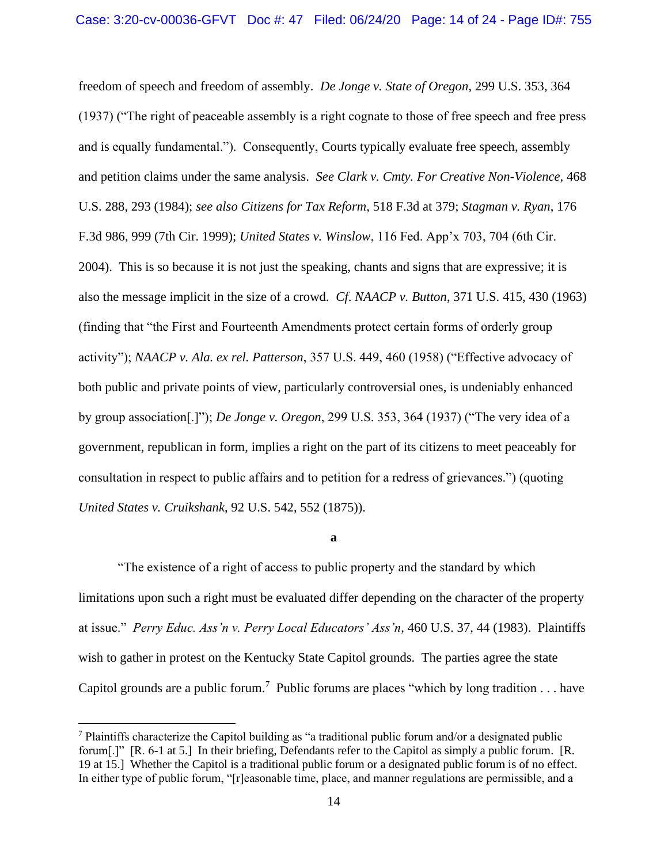freedom of speech and freedom of assembly. *De Jonge v. State of Oregon*, 299 U.S. 353, 364 (1937) ("The right of peaceable assembly is a right cognate to those of free speech and free press and is equally fundamental."). Consequently, Courts typically evaluate free speech, assembly and petition claims under the same analysis. *See Clark v. Cmty. For Creative Non-Violence*, 468 U.S. 288, 293 (1984); *see also Citizens for Tax Reform*, 518 F.3d at 379; *Stagman v. Ryan*, 176 F.3d 986, 999 (7th Cir. 1999); *United States v. Winslow*, 116 Fed. App'x 703, 704 (6th Cir. 2004). This is so because it is not just the speaking, chants and signs that are expressive; it is also the message implicit in the size of a crowd. *Cf*. *NAACP v. Button*, 371 U.S. 415, 430 (1963) (finding that "the First and Fourteenth Amendments protect certain forms of orderly group activity"); *NAACP v. Ala. ex rel. Patterson*, 357 U.S. 449, 460 (1958) ("Effective advocacy of both public and private points of view, particularly controversial ones, is undeniably enhanced by group association[.]"); *De Jonge v. Oregon*, 299 U.S. 353, 364 (1937) ("The very idea of a government, republican in form, implies a right on the part of its citizens to meet peaceably for consultation in respect to public affairs and to petition for a redress of grievances.") (quoting *United States v. Cruikshank*, 92 U.S. 542, 552 (1875)).

**a**

"The existence of a right of access to public property and the standard by which limitations upon such a right must be evaluated differ depending on the character of the property at issue." *Perry Educ. Ass'n v. Perry Local Educators' Ass'n*, 460 U.S. 37, 44 (1983). Plaintiffs wish to gather in protest on the Kentucky State Capitol grounds. The parties agree the state Capitol grounds are a public forum.<sup>7</sup> Public forums are places "which by long tradition . . . have

<sup>7</sup> Plaintiffs characterize the Capitol building as "a traditional public forum and/or a designated public forum[.]" [R. 6-1 at 5.] In their briefing, Defendants refer to the Capitol as simply a public forum. [R. 19 at 15.] Whether the Capitol is a traditional public forum or a designated public forum is of no effect. In either type of public forum, "[r]easonable time, place, and manner regulations are permissible, and a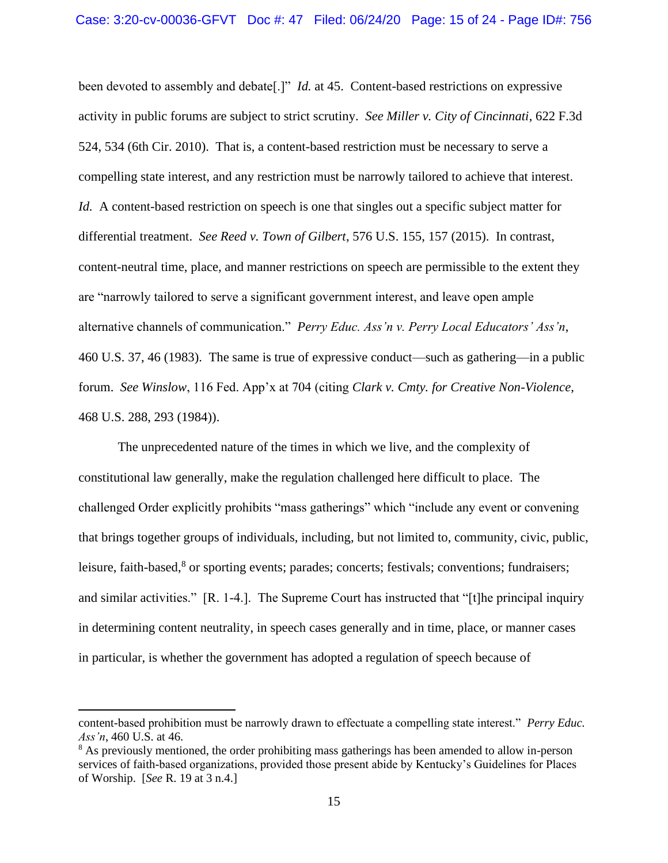been devoted to assembly and debate[.]" *Id.* at 45. Content-based restrictions on expressive activity in public forums are subject to strict scrutiny. *See Miller v. City of Cincinnati*, 622 F.3d 524, 534 (6th Cir. 2010). That is, a content-based restriction must be necessary to serve a compelling state interest, and any restriction must be narrowly tailored to achieve that interest. *Id.* A content-based restriction on speech is one that singles out a specific subject matter for differential treatment. *See Reed v. Town of Gilbert*, 576 U.S. 155, 157 (2015). In contrast, content-neutral time, place, and manner restrictions on speech are permissible to the extent they are "narrowly tailored to serve a significant government interest, and leave open ample alternative channels of communication." *Perry Educ. Ass'n v. Perry Local Educators' Ass'n*, 460 U.S. 37, 46 (1983). The same is true of expressive conduct—such as gathering—in a public forum. *See Winslow*, 116 Fed. App'x at 704 (citing *Clark v. Cmty. for Creative Non-Violence*, 468 U.S. 288, 293 (1984)).

The unprecedented nature of the times in which we live, and the complexity of constitutional law generally, make the regulation challenged here difficult to place. The challenged Order explicitly prohibits "mass gatherings" which "include any event or convening that brings together groups of individuals, including, but not limited to, community, civic, public, leisure, faith-based,<sup>8</sup> or sporting events; parades; concerts; festivals; conventions; fundraisers; and similar activities." [R. 1-4.]. The Supreme Court has instructed that "[t]he principal inquiry in determining content neutrality, in speech cases generally and in time, place, or manner cases in particular, is whether the government has adopted a regulation of speech because of

content-based prohibition must be narrowly drawn to effectuate a compelling state interest." *Perry Educ. Ass'n*, 460 U.S. at 46.

<sup>&</sup>lt;sup>8</sup> As previously mentioned, the order prohibiting mass gatherings has been amended to allow in-person services of faith-based organizations, provided those present abide by Kentucky's Guidelines for Places of Worship. [*See* R. 19 at 3 n.4.]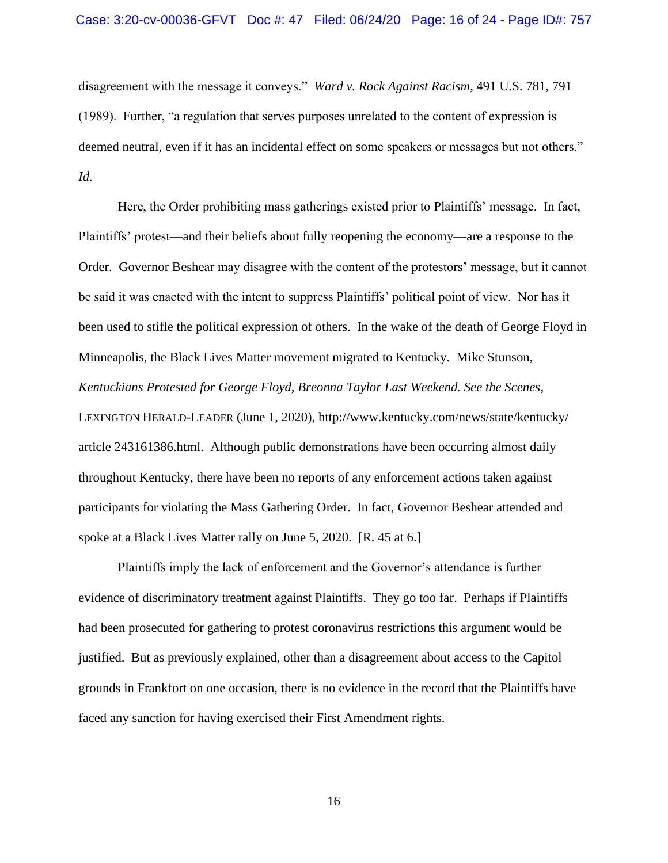disagreement with the message it conveys." *Ward v. Rock Against Racism*, 491 U.S. 781, 791 (1989). Further, "a regulation that serves purposes unrelated to the content of expression is deemed neutral, even if it has an incidental effect on some speakers or messages but not others." *Id.* 

Here, the Order prohibiting mass gatherings existed prior to Plaintiffs' message. In fact, Plaintiffs' protest—and their beliefs about fully reopening the economy—are a response to the Order. Governor Beshear may disagree with the content of the protestors' message, but it cannot be said it was enacted with the intent to suppress Plaintiffs' political point of view. Nor has it been used to stifle the political expression of others. In the wake of the death of George Floyd in Minneapolis, the Black Lives Matter movement migrated to Kentucky. Mike Stunson, *Kentuckians Protested for George Floyd, Breonna Taylor Last Weekend. See the Scenes*, LEXINGTON HERALD-LEADER (June 1, 2020), http://www.kentucky.com/news/state/kentucky/ article 243161386.html. Although public demonstrations have been occurring almost daily throughout Kentucky, there have been no reports of any enforcement actions taken against participants for violating the Mass Gathering Order. In fact, Governor Beshear attended and spoke at a Black Lives Matter rally on June 5, 2020. [R. 45 at 6.]

Plaintiffs imply the lack of enforcement and the Governor's attendance is further evidence of discriminatory treatment against Plaintiffs. They go too far. Perhaps if Plaintiffs had been prosecuted for gathering to protest coronavirus restrictions this argument would be justified. But as previously explained, other than a disagreement about access to the Capitol grounds in Frankfort on one occasion, there is no evidence in the record that the Plaintiffs have faced any sanction for having exercised their First Amendment rights.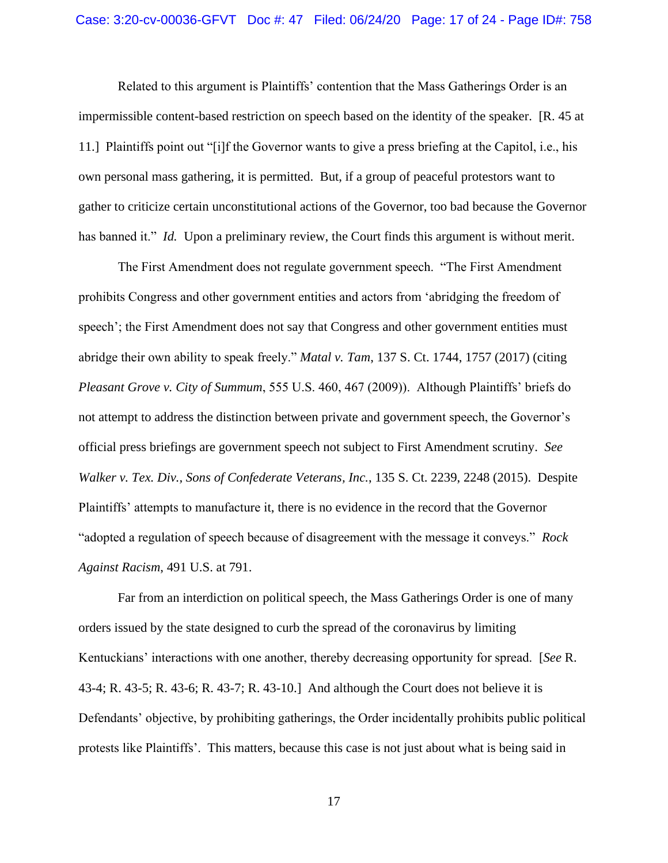Related to this argument is Plaintiffs' contention that the Mass Gatherings Order is an impermissible content-based restriction on speech based on the identity of the speaker. [R. 45 at 11.] Plaintiffs point out "[i]f the Governor wants to give a press briefing at the Capitol, i.e., his own personal mass gathering, it is permitted. But, if a group of peaceful protestors want to gather to criticize certain unconstitutional actions of the Governor, too bad because the Governor has banned it." *Id.* Upon a preliminary review, the Court finds this argument is without merit.

The First Amendment does not regulate government speech. "The First Amendment prohibits Congress and other government entities and actors from 'abridging the freedom of speech'; the First Amendment does not say that Congress and other government entities must abridge their own ability to speak freely." *Matal v. Tam*, 137 S. Ct. 1744, 1757 (2017) (citing *Pleasant Grove v. City of Summum*, 555 U.S. 460, 467 (2009)). Although Plaintiffs' briefs do not attempt to address the distinction between private and government speech, the Governor's official press briefings are government speech not subject to First Amendment scrutiny. *See Walker v. Tex. Div., Sons of Confederate Veterans, Inc.*, 135 S. Ct. 2239, 2248 (2015). Despite Plaintiffs' attempts to manufacture it, there is no evidence in the record that the Governor "adopted a regulation of speech because of disagreement with the message it conveys." *Rock Against Racism*, 491 U.S. at 791.

Far from an interdiction on political speech, the Mass Gatherings Order is one of many orders issued by the state designed to curb the spread of the coronavirus by limiting Kentuckians' interactions with one another, thereby decreasing opportunity for spread. [*See* R. 43-4; R. 43-5; R. 43-6; R. 43-7; R. 43-10.] And although the Court does not believe it is Defendants' objective, by prohibiting gatherings, the Order incidentally prohibits public political protests like Plaintiffs'. This matters, because this case is not just about what is being said in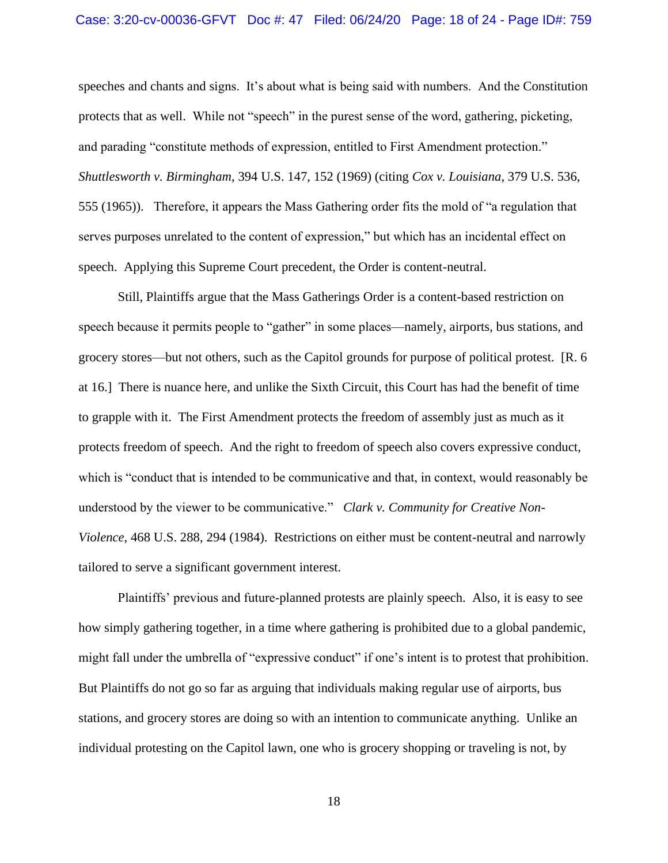# Case: 3:20-cv-00036-GFVT Doc #: 47 Filed: 06/24/20 Page: 18 of 24 - Page ID#: 759

speeches and chants and signs. It's about what is being said with numbers. And the Constitution protects that as well. While not "speech" in the purest sense of the word, gathering, picketing, and parading "constitute methods of expression, entitled to First Amendment protection." *Shuttlesworth v. Birmingham*, 394 U.S. 147, 152 (1969) (citing *Cox v. Louisiana*, 379 U.S. 536, 555 (1965)). Therefore, it appears the Mass Gathering order fits the mold of "a regulation that serves purposes unrelated to the content of expression," but which has an incidental effect on speech. Applying this Supreme Court precedent, the Order is content-neutral.

Still, Plaintiffs argue that the Mass Gatherings Order is a content-based restriction on speech because it permits people to "gather" in some places—namely, airports, bus stations, and grocery stores—but not others, such as the Capitol grounds for purpose of political protest. [R. 6 at 16.] There is nuance here, and unlike the Sixth Circuit, this Court has had the benefit of time to grapple with it. The First Amendment protects the freedom of assembly just as much as it protects freedom of speech. And the right to freedom of speech also covers expressive conduct, which is "conduct that is intended to be communicative and that, in context, would reasonably be understood by the viewer to be communicative." *Clark v. Community for Creative Non-Violence*, 468 U.S. 288, 294 (1984). Restrictions on either must be content-neutral and narrowly tailored to serve a significant government interest.

Plaintiffs' previous and future-planned protests are plainly speech. Also, it is easy to see how simply gathering together, in a time where gathering is prohibited due to a global pandemic, might fall under the umbrella of "expressive conduct" if one's intent is to protest that prohibition. But Plaintiffs do not go so far as arguing that individuals making regular use of airports, bus stations, and grocery stores are doing so with an intention to communicate anything. Unlike an individual protesting on the Capitol lawn, one who is grocery shopping or traveling is not, by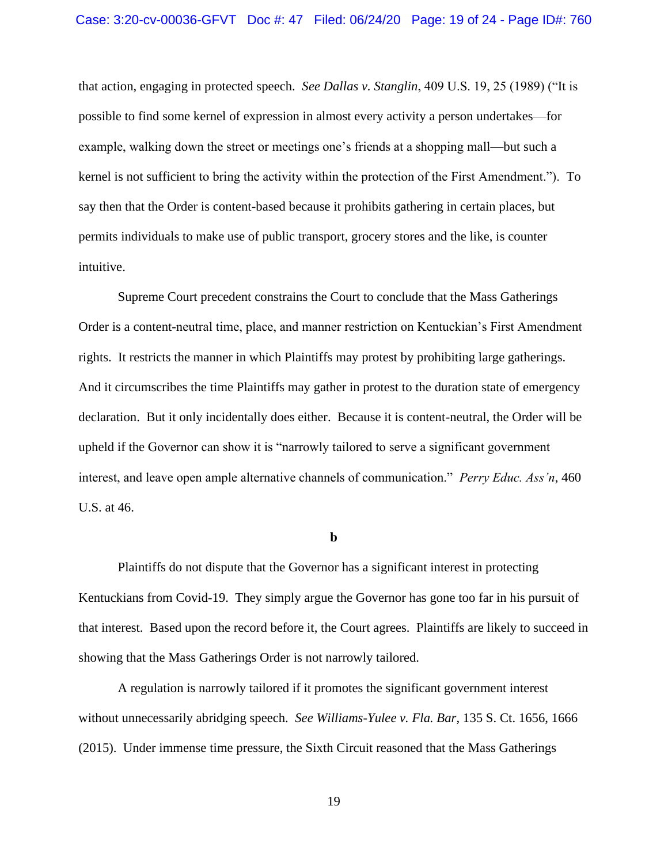that action, engaging in protected speech. *See Dallas v. Stanglin*, 409 U.S. 19, 25 (1989) ("It is possible to find some kernel of expression in almost every activity a person undertakes—for example, walking down the street or meetings one's friends at a shopping mall—but such a kernel is not sufficient to bring the activity within the protection of the First Amendment."). To say then that the Order is content-based because it prohibits gathering in certain places, but permits individuals to make use of public transport, grocery stores and the like, is counter intuitive.

Supreme Court precedent constrains the Court to conclude that the Mass Gatherings Order is a content-neutral time, place, and manner restriction on Kentuckian's First Amendment rights. It restricts the manner in which Plaintiffs may protest by prohibiting large gatherings. And it circumscribes the time Plaintiffs may gather in protest to the duration state of emergency declaration. But it only incidentally does either. Because it is content-neutral, the Order will be upheld if the Governor can show it is "narrowly tailored to serve a significant government interest, and leave open ample alternative channels of communication." *Perry Educ. Ass'n*, 460 U.S. at 46.

**b**

Plaintiffs do not dispute that the Governor has a significant interest in protecting Kentuckians from Covid-19. They simply argue the Governor has gone too far in his pursuit of that interest. Based upon the record before it, the Court agrees. Plaintiffs are likely to succeed in showing that the Mass Gatherings Order is not narrowly tailored.

A regulation is narrowly tailored if it promotes the significant government interest without unnecessarily abridging speech. *See Williams-Yulee v. Fla. Bar*, 135 S. Ct. 1656, 1666 (2015). Under immense time pressure, the Sixth Circuit reasoned that the Mass Gatherings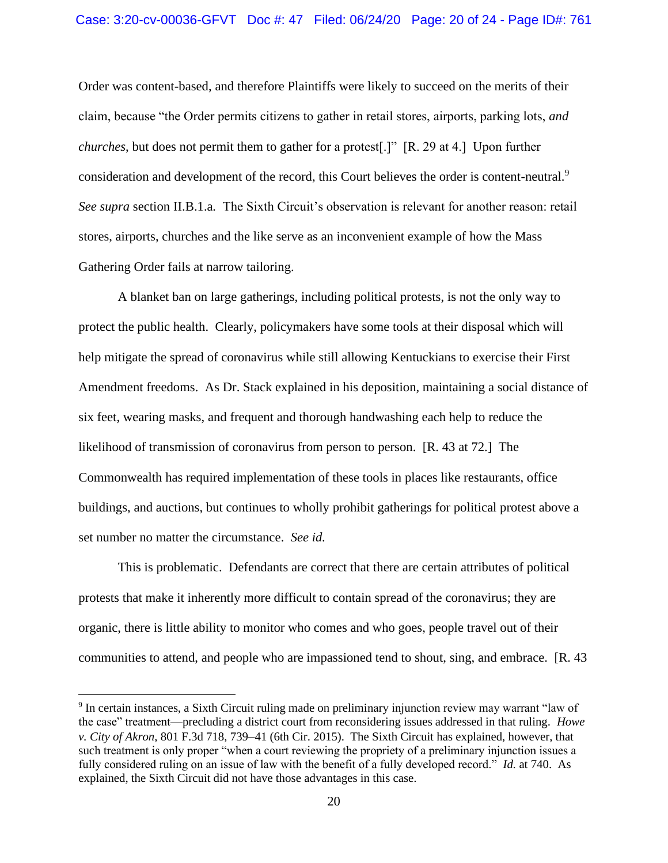Order was content-based, and therefore Plaintiffs were likely to succeed on the merits of their claim, because "the Order permits citizens to gather in retail stores, airports, parking lots, *and churches*, but does not permit them to gather for a protest[.]" [R. 29 at 4.] Upon further consideration and development of the record, this Court believes the order is content-neutral.<sup>9</sup> *See supra* section II.B.1.a*.* The Sixth Circuit's observation is relevant for another reason: retail stores, airports, churches and the like serve as an inconvenient example of how the Mass Gathering Order fails at narrow tailoring.

A blanket ban on large gatherings, including political protests, is not the only way to protect the public health. Clearly, policymakers have some tools at their disposal which will help mitigate the spread of coronavirus while still allowing Kentuckians to exercise their First Amendment freedoms. As Dr. Stack explained in his deposition, maintaining a social distance of six feet, wearing masks, and frequent and thorough handwashing each help to reduce the likelihood of transmission of coronavirus from person to person. [R. 43 at 72.] The Commonwealth has required implementation of these tools in places like restaurants, office buildings, and auctions, but continues to wholly prohibit gatherings for political protest above a set number no matter the circumstance. *See id.* 

This is problematic. Defendants are correct that there are certain attributes of political protests that make it inherently more difficult to contain spread of the coronavirus; they are organic, there is little ability to monitor who comes and who goes, people travel out of their communities to attend, and people who are impassioned tend to shout, sing, and embrace. [R. 43

<sup>&</sup>lt;sup>9</sup> In certain instances, a Sixth Circuit ruling made on preliminary injunction review may warrant "law of the case" treatment—precluding a district court from reconsidering issues addressed in that ruling. *Howe v. City of Akron*, 801 F.3d 718, 739–41 (6th Cir. 2015). The Sixth Circuit has explained, however, that such treatment is only proper "when a court reviewing the propriety of a preliminary injunction issues a fully considered ruling on an issue of law with the benefit of a fully developed record." *Id.* at 740. As explained, the Sixth Circuit did not have those advantages in this case.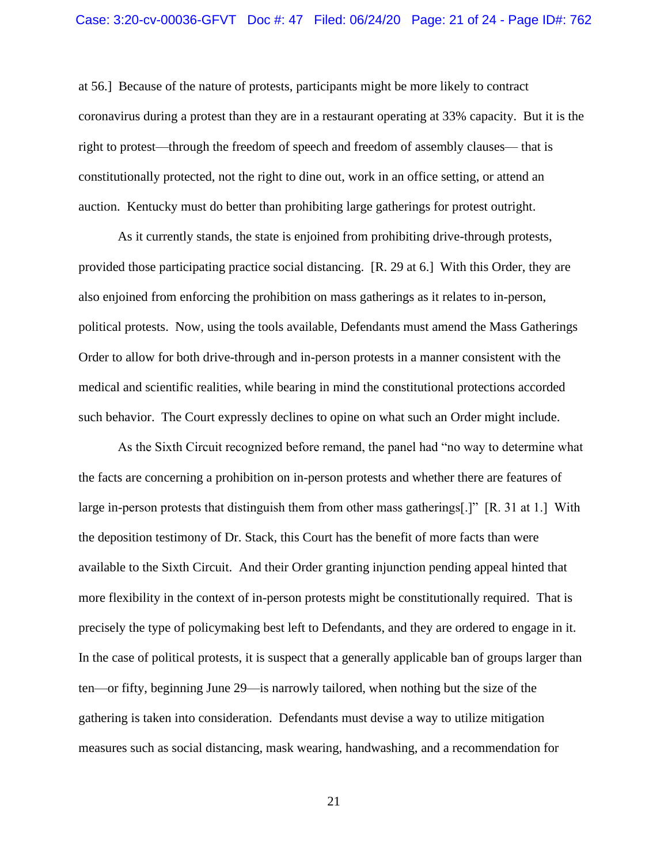at 56.] Because of the nature of protests, participants might be more likely to contract coronavirus during a protest than they are in a restaurant operating at 33% capacity. But it is the right to protest—through the freedom of speech and freedom of assembly clauses— that is constitutionally protected, not the right to dine out, work in an office setting, or attend an auction. Kentucky must do better than prohibiting large gatherings for protest outright.

As it currently stands, the state is enjoined from prohibiting drive-through protests, provided those participating practice social distancing. [R. 29 at 6.] With this Order, they are also enjoined from enforcing the prohibition on mass gatherings as it relates to in-person, political protests. Now, using the tools available, Defendants must amend the Mass Gatherings Order to allow for both drive-through and in-person protests in a manner consistent with the medical and scientific realities, while bearing in mind the constitutional protections accorded such behavior. The Court expressly declines to opine on what such an Order might include.

As the Sixth Circuit recognized before remand, the panel had "no way to determine what the facts are concerning a prohibition on in-person protests and whether there are features of large in-person protests that distinguish them from other mass gatherings[.]" [R. 31 at 1.] With the deposition testimony of Dr. Stack, this Court has the benefit of more facts than were available to the Sixth Circuit. And their Order granting injunction pending appeal hinted that more flexibility in the context of in-person protests might be constitutionally required. That is precisely the type of policymaking best left to Defendants, and they are ordered to engage in it. In the case of political protests, it is suspect that a generally applicable ban of groups larger than ten—or fifty, beginning June 29—is narrowly tailored, when nothing but the size of the gathering is taken into consideration. Defendants must devise a way to utilize mitigation measures such as social distancing, mask wearing, handwashing, and a recommendation for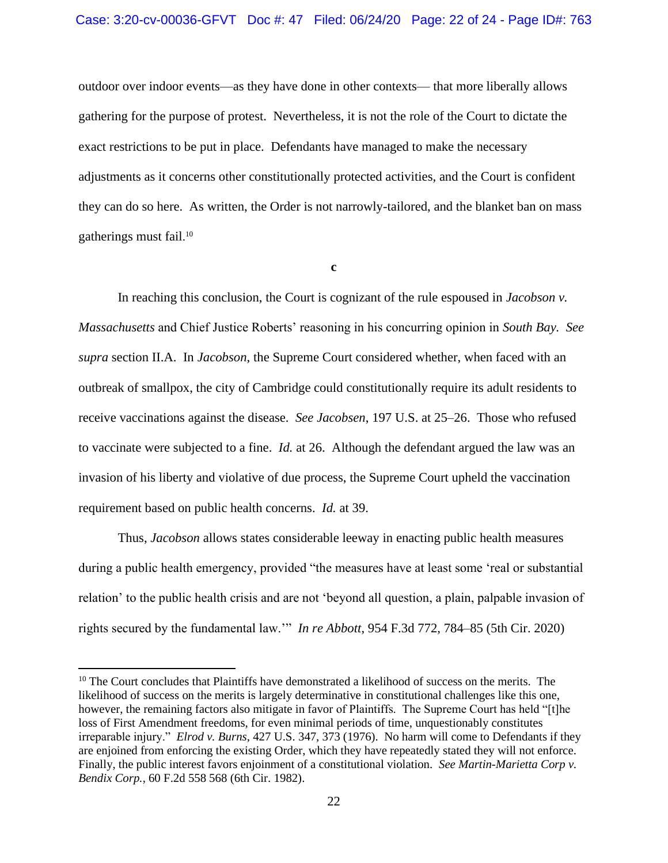# Case: 3:20-cv-00036-GFVT Doc #: 47 Filed: 06/24/20 Page: 22 of 24 - Page ID#: 763

outdoor over indoor events—as they have done in other contexts— that more liberally allows gathering for the purpose of protest. Nevertheless, it is not the role of the Court to dictate the exact restrictions to be put in place. Defendants have managed to make the necessary adjustments as it concerns other constitutionally protected activities, and the Court is confident they can do so here. As written, the Order is not narrowly-tailored, and the blanket ban on mass gatherings must fail. 10

**c**

In reaching this conclusion, the Court is cognizant of the rule espoused in *Jacobson v. Massachusetts* and Chief Justice Roberts' reasoning in his concurring opinion in *South Bay. See supra* section II.A. In *Jacobson*, the Supreme Court considered whether, when faced with an outbreak of smallpox, the city of Cambridge could constitutionally require its adult residents to receive vaccinations against the disease. *See Jacobsen*, 197 U.S. at 25–26. Those who refused to vaccinate were subjected to a fine. *Id.* at 26. Although the defendant argued the law was an invasion of his liberty and violative of due process, the Supreme Court upheld the vaccination requirement based on public health concerns. *Id.* at 39.

Thus, *Jacobson* allows states considerable leeway in enacting public health measures during a public health emergency, provided "the measures have at least some 'real or substantial relation' to the public health crisis and are not 'beyond all question, a plain, palpable invasion of rights secured by the fundamental law.'" *In re Abbott*, 954 F.3d 772, 784–85 (5th Cir. 2020)

<sup>&</sup>lt;sup>10</sup> The Court concludes that Plaintiffs have demonstrated a likelihood of success on the merits. The likelihood of success on the merits is largely determinative in constitutional challenges like this one, however, the remaining factors also mitigate in favor of Plaintiffs. The Supreme Court has held "[t]he loss of First Amendment freedoms, for even minimal periods of time, unquestionably constitutes irreparable injury." *Elrod v. Burns*, 427 U.S. 347, 373 (1976). No harm will come to Defendants if they are enjoined from enforcing the existing Order, which they have repeatedly stated they will not enforce. Finally, the public interest favors enjoinment of a constitutional violation. *See Martin-Marietta Corp v. Bendix Corp.*, 60 F.2d 558 568 (6th Cir. 1982).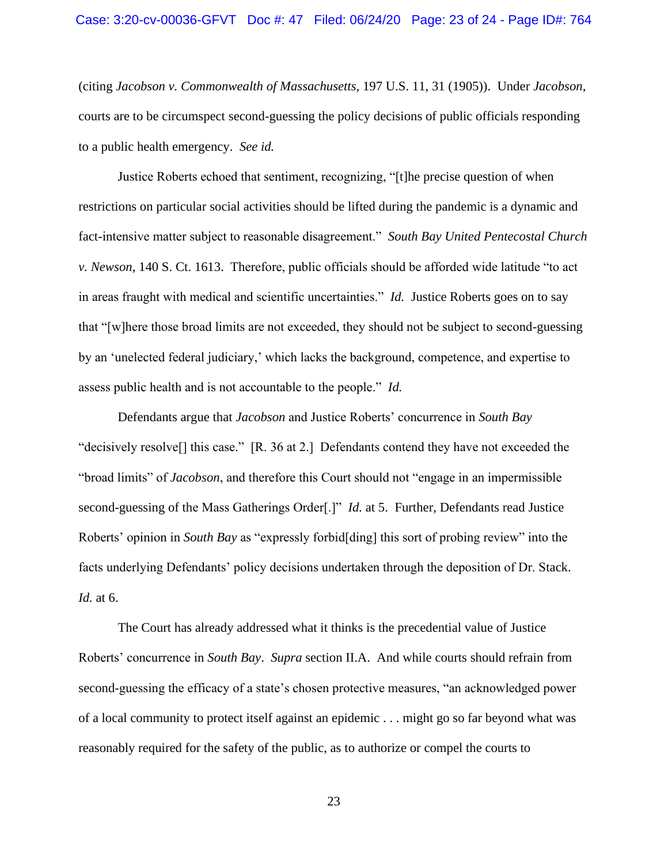(citing *Jacobson v. Commonwealth of Massachusetts*, 197 U.S. 11, 31 (1905)). Under *Jacobson*, courts are to be circumspect second-guessing the policy decisions of public officials responding to a public health emergency. *See id.* 

Justice Roberts echoed that sentiment, recognizing, "[t]he precise question of when restrictions on particular social activities should be lifted during the pandemic is a dynamic and fact-intensive matter subject to reasonable disagreement." *South Bay United Pentecostal Church v. Newson*, 140 S. Ct. 1613. Therefore, public officials should be afforded wide latitude "to act in areas fraught with medical and scientific uncertainties." *Id.* Justice Roberts goes on to say that "[w]here those broad limits are not exceeded, they should not be subject to second-guessing by an 'unelected federal judiciary,' which lacks the background, competence, and expertise to assess public health and is not accountable to the people." *Id.* 

Defendants argue that *Jacobson* and Justice Roberts' concurrence in *South Bay* "decisively resolve[] this case." [R. 36 at 2.] Defendants contend they have not exceeded the "broad limits" of *Jacobson*, and therefore this Court should not "engage in an impermissible second-guessing of the Mass Gatherings Order[.]" *Id.* at 5. Further, Defendants read Justice Roberts' opinion in *South Bay* as "expressly forbid[ding] this sort of probing review" into the facts underlying Defendants' policy decisions undertaken through the deposition of Dr. Stack. *Id.* at 6.

The Court has already addressed what it thinks is the precedential value of Justice Roberts' concurrence in *South Bay*. *Supra* section II.A. And while courts should refrain from second-guessing the efficacy of a state's chosen protective measures, "an acknowledged power of a local community to protect itself against an epidemic . . . might go so far beyond what was reasonably required for the safety of the public, as to authorize or compel the courts to